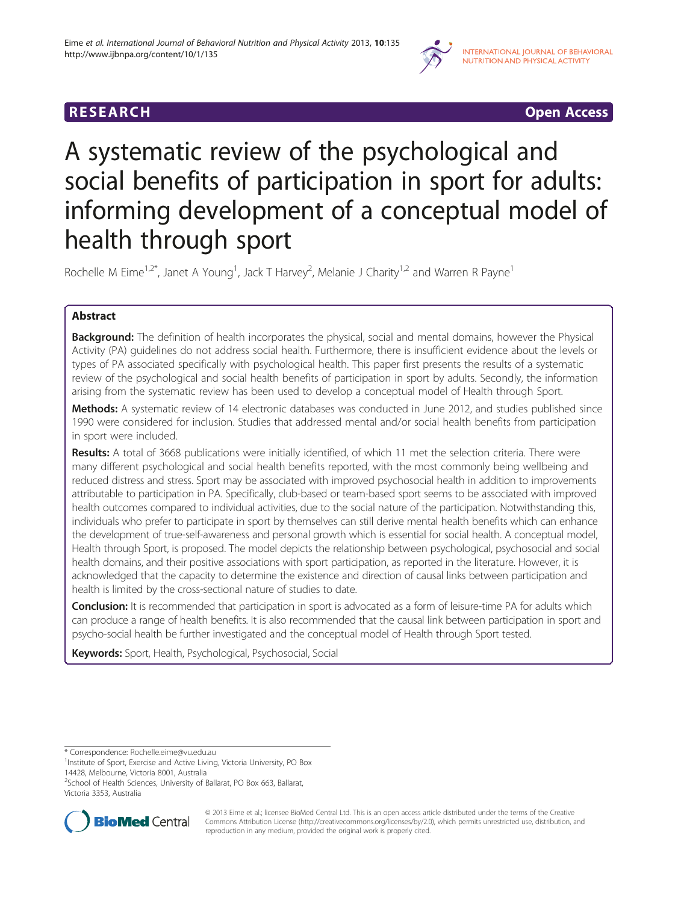

**RESEARCH RESEARCH CONSUMING ACCESS** 

# A systematic review of the psychological and social benefits of participation in sport for adults: informing development of a conceptual model of health through sport

Rochelle M Eime<sup>1,2\*</sup>, Janet A Young<sup>1</sup>, Jack T Harvey<sup>2</sup>, Melanie J Charity<sup>1,2</sup> and Warren R Payne<sup>1</sup>

# Abstract

**Background:** The definition of health incorporates the physical, social and mental domains, however the Physical Activity (PA) guidelines do not address social health. Furthermore, there is insufficient evidence about the levels or types of PA associated specifically with psychological health. This paper first presents the results of a systematic review of the psychological and social health benefits of participation in sport by adults. Secondly, the information arising from the systematic review has been used to develop a conceptual model of Health through Sport.

Methods: A systematic review of 14 electronic databases was conducted in June 2012, and studies published since 1990 were considered for inclusion. Studies that addressed mental and/or social health benefits from participation in sport were included.

Results: A total of 3668 publications were initially identified, of which 11 met the selection criteria. There were many different psychological and social health benefits reported, with the most commonly being wellbeing and reduced distress and stress. Sport may be associated with improved psychosocial health in addition to improvements attributable to participation in PA. Specifically, club-based or team-based sport seems to be associated with improved health outcomes compared to individual activities, due to the social nature of the participation. Notwithstanding this, individuals who prefer to participate in sport by themselves can still derive mental health benefits which can enhance the development of true-self-awareness and personal growth which is essential for social health. A conceptual model, Health through Sport, is proposed. The model depicts the relationship between psychological, psychosocial and social health domains, and their positive associations with sport participation, as reported in the literature. However, it is acknowledged that the capacity to determine the existence and direction of causal links between participation and health is limited by the cross-sectional nature of studies to date.

**Conclusion:** It is recommended that participation in sport is advocated as a form of leisure-time PA for adults which can produce a range of health benefits. It is also recommended that the causal link between participation in sport and psycho-social health be further investigated and the conceptual model of Health through Sport tested.

Keywords: Sport, Health, Psychological, Psychosocial, Social

\* Correspondence: [Rochelle.eime@vu.edu.au](mailto:Rochelle.eime@vu.edu.au) <sup>1</sup>

<sup>2</sup>School of Health Sciences, University of Ballarat, PO Box 663, Ballarat, Victoria 3353, Australia



© 2013 Eime et al.; licensee BioMed Central Ltd. This is an open access article distributed under the terms of the Creative Commons Attribution License [\(http://creativecommons.org/licenses/by/2.0\)](http://creativecommons.org/licenses/by/2.0), which permits unrestricted use, distribution, and reproduction in any medium, provided the original work is properly cited.

<sup>&</sup>lt;sup>1</sup>Institute of Sport, Exercise and Active Living, Victoria University, PO Box 14428, Melbourne, Victoria 8001, Australia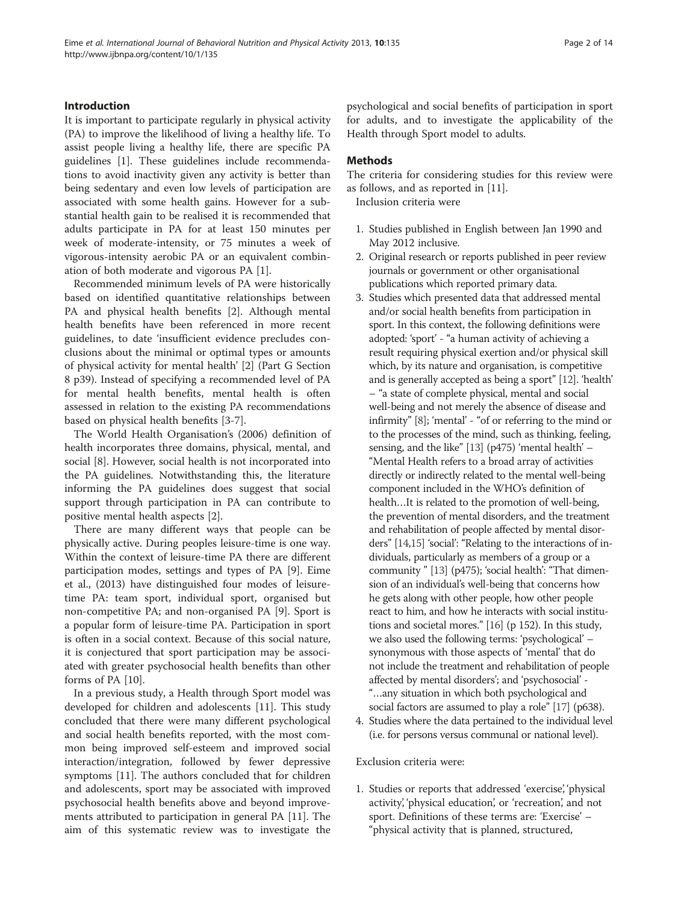#### Introduction

It is important to participate regularly in physical activity (PA) to improve the likelihood of living a healthy life. To assist people living a healthy life, there are specific PA guidelines [\[1](#page-12-0)]. These guidelines include recommendations to avoid inactivity given any activity is better than being sedentary and even low levels of participation are associated with some health gains. However for a substantial health gain to be realised it is recommended that adults participate in PA for at least 150 minutes per week of moderate-intensity, or 75 minutes a week of vigorous-intensity aerobic PA or an equivalent combination of both moderate and vigorous PA [\[1](#page-12-0)].

Recommended minimum levels of PA were historically based on identified quantitative relationships between PA and physical health benefits [\[2\]](#page-12-0). Although mental health benefits have been referenced in more recent guidelines, to date 'insufficient evidence precludes conclusions about the minimal or optimal types or amounts of physical activity for mental health' [\[2](#page-12-0)] (Part G Section 8 p39). Instead of specifying a recommended level of PA for mental health benefits, mental health is often assessed in relation to the existing PA recommendations based on physical health benefits [[3-7](#page-12-0)].

The World Health Organisation's (2006) definition of health incorporates three domains, physical, mental, and social [[8](#page-12-0)]. However, social health is not incorporated into the PA guidelines. Notwithstanding this, the literature informing the PA guidelines does suggest that social support through participation in PA can contribute to positive mental health aspects [[2\]](#page-12-0).

There are many different ways that people can be physically active. During peoples leisure-time is one way. Within the context of leisure-time PA there are different participation modes, settings and types of PA [[9\]](#page-12-0). Eime et al., (2013) have distinguished four modes of leisuretime PA: team sport, individual sport, organised but non-competitive PA; and non-organised PA [[9\]](#page-12-0). Sport is a popular form of leisure-time PA. Participation in sport is often in a social context. Because of this social nature, it is conjectured that sport participation may be associated with greater psychosocial health benefits than other forms of PA [\[10](#page-12-0)].

In a previous study, a Health through Sport model was developed for children and adolescents [[11](#page-12-0)]. This study concluded that there were many different psychological and social health benefits reported, with the most common being improved self-esteem and improved social interaction/integration, followed by fewer depressive symptoms [\[11\]](#page-12-0). The authors concluded that for children and adolescents, sport may be associated with improved psychosocial health benefits above and beyond improvements attributed to participation in general PA [\[11\]](#page-12-0). The aim of this systematic review was to investigate the

psychological and social benefits of participation in sport for adults, and to investigate the applicability of the Health through Sport model to adults.

# Methods

The criteria for considering studies for this review were as follows, and as reported in [\[11\]](#page-12-0).

Inclusion criteria were

- 1. Studies published in English between Jan 1990 and May 2012 inclusive.
- 2. Original research or reports published in peer review journals or government or other organisational publications which reported primary data.
- 3. Studies which presented data that addressed mental and/or social health benefits from participation in sport. In this context, the following definitions were adopted: 'sport' - "a human activity of achieving a result requiring physical exertion and/or physical skill which, by its nature and organisation, is competitive and is generally accepted as being a sport" [\[12](#page-12-0)]. 'health' – "a state of complete physical, mental and social well-being and not merely the absence of disease and infirmity" [\[8\]](#page-12-0); 'mental' - "of or referring to the mind or to the processes of the mind, such as thinking, feeling, sensing, and the like" [[13](#page-12-0)] (p475) 'mental health' – "Mental Health refers to a broad array of activities directly or indirectly related to the mental well-being component included in the WHO's definition of health…It is related to the promotion of well-being, the prevention of mental disorders, and the treatment and rehabilitation of people affected by mental disorders" [[14,15](#page-12-0)] 'social': "Relating to the interactions of individuals, particularly as members of a group or a community " [\[13\]](#page-12-0) (p475); 'social health': "That dimension of an individual's well-being that concerns how he gets along with other people, how other people react to him, and how he interacts with social institutions and societal mores." [\[16](#page-12-0)] (p 152). In this study, we also used the following terms: 'psychological' – synonymous with those aspects of 'mental' that do not include the treatment and rehabilitation of people affected by mental disorders'; and 'psychosocial' - "…any situation in which both psychological and social factors are assumed to play a role" [[17](#page-12-0)] (p638).
- 4. Studies where the data pertained to the individual level (i.e. for persons versus communal or national level).

Exclusion criteria were:

1. Studies or reports that addressed 'exercise', 'physical activity', 'physical education', or 'recreation', and not sport. Definitions of these terms are: 'Exercise' – "physical activity that is planned, structured,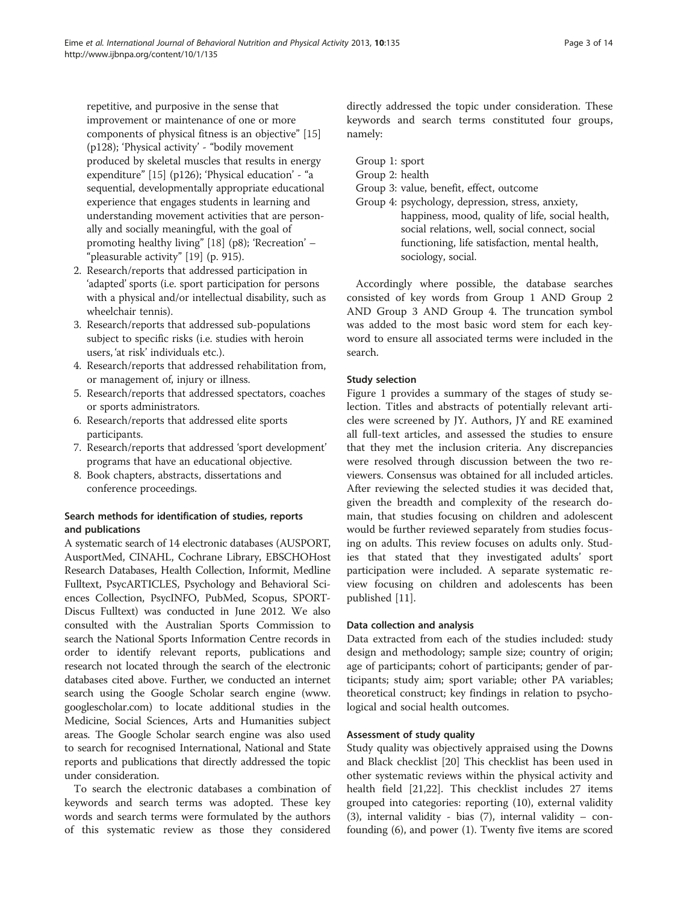repetitive, and purposive in the sense that improvement or maintenance of one or more components of physical fitness is an objective" [[15](#page-12-0)] (p128); 'Physical activity' - "bodily movement produced by skeletal muscles that results in energy expenditure" [\[15](#page-12-0)] (p126); 'Physical education' - "a sequential, developmentally appropriate educational experience that engages students in learning and understanding movement activities that are personally and socially meaningful, with the goal of promoting healthy living" [\[18\]](#page-12-0) (p8); 'Recreation' – "pleasurable activity" [[19](#page-12-0)] (p. 915).

- 2. Research/reports that addressed participation in 'adapted' sports (i.e. sport participation for persons with a physical and/or intellectual disability, such as wheelchair tennis).
- 3. Research/reports that addressed sub-populations subject to specific risks (i.e. studies with heroin users, 'at risk' individuals etc.).
- 4. Research/reports that addressed rehabilitation from, or management of, injury or illness.
- 5. Research/reports that addressed spectators, coaches or sports administrators.
- 6. Research/reports that addressed elite sports participants.
- 7. Research/reports that addressed 'sport development' programs that have an educational objective.
- 8. Book chapters, abstracts, dissertations and conference proceedings.

# Search methods for identification of studies, reports and publications

A systematic search of 14 electronic databases (AUSPORT, AusportMed, CINAHL, Cochrane Library, EBSCHOHost Research Databases, Health Collection, Informit, Medline Fulltext, PsycARTICLES, Psychology and Behavioral Sciences Collection, PsycINFO, PubMed, Scopus, SPORT-Discus Fulltext) was conducted in June 2012. We also consulted with the Australian Sports Commission to search the National Sports Information Centre records in order to identify relevant reports, publications and research not located through the search of the electronic databases cited above. Further, we conducted an internet search using the Google Scholar search engine [\(www.](http://www.googlescholar.com) [googlescholar.com\)](http://www.googlescholar.com) to locate additional studies in the Medicine, Social Sciences, Arts and Humanities subject areas. The Google Scholar search engine was also used to search for recognised International, National and State reports and publications that directly addressed the topic under consideration.

To search the electronic databases a combination of keywords and search terms was adopted. These key words and search terms were formulated by the authors of this systematic review as those they considered

directly addressed the topic under consideration. These keywords and search terms constituted four groups, namely:

Group 1: sport

- Group 2: health
- Group 3: value, benefit, effect, outcome
- Group 4: psychology, depression, stress, anxiety, happiness, mood, quality of life, social health, social relations, well, social connect, social functioning, life satisfaction, mental health, sociology, social.

Accordingly where possible, the database searches consisted of key words from Group 1 AND Group 2 AND Group 3 AND Group 4. The truncation symbol was added to the most basic word stem for each keyword to ensure all associated terms were included in the search.

# Study selection

Figure [1](#page-3-0) provides a summary of the stages of study selection. Titles and abstracts of potentially relevant articles were screened by JY. Authors, JY and RE examined all full-text articles, and assessed the studies to ensure that they met the inclusion criteria. Any discrepancies were resolved through discussion between the two reviewers. Consensus was obtained for all included articles. After reviewing the selected studies it was decided that, given the breadth and complexity of the research domain, that studies focusing on children and adolescent would be further reviewed separately from studies focusing on adults. This review focuses on adults only. Studies that stated that they investigated adults' sport participation were included. A separate systematic review focusing on children and adolescents has been published [\[11](#page-12-0)].

#### Data collection and analysis

Data extracted from each of the studies included: study design and methodology; sample size; country of origin; age of participants; cohort of participants; gender of participants; study aim; sport variable; other PA variables; theoretical construct; key findings in relation to psychological and social health outcomes.

# Assessment of study quality

Study quality was objectively appraised using the Downs and Black checklist [\[20\]](#page-12-0) This checklist has been used in other systematic reviews within the physical activity and health field [[21](#page-12-0),[22](#page-12-0)]. This checklist includes 27 items grouped into categories: reporting (10), external validity (3), internal validity - bias  $(7)$ , internal validity – confounding (6), and power (1). Twenty five items are scored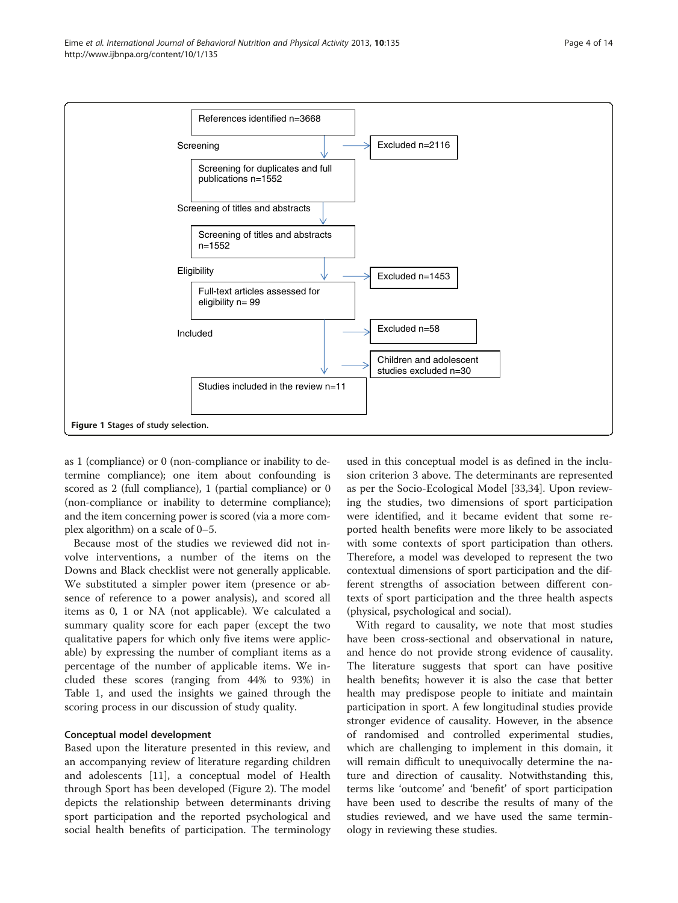<span id="page-3-0"></span>

as 1 (compliance) or 0 (non-compliance or inability to determine compliance); one item about confounding is scored as 2 (full compliance), 1 (partial compliance) or 0 (non-compliance or inability to determine compliance); and the item concerning power is scored (via a more complex algorithm) on a scale of 0–5.

Because most of the studies we reviewed did not involve interventions, a number of the items on the Downs and Black checklist were not generally applicable. We substituted a simpler power item (presence or absence of reference to a power analysis), and scored all items as 0, 1 or NA (not applicable). We calculated a summary quality score for each paper (except the two qualitative papers for which only five items were applicable) by expressing the number of compliant items as a percentage of the number of applicable items. We included these scores (ranging from 44% to 93%) in Table [1](#page-4-0), and used the insights we gained through the scoring process in our discussion of study quality.

# Conceptual model development

Based upon the literature presented in this review, and an accompanying review of literature regarding children and adolescents [\[11](#page-12-0)], a conceptual model of Health through Sport has been developed (Figure [2\)](#page-8-0). The model depicts the relationship between determinants driving sport participation and the reported psychological and social health benefits of participation. The terminology

used in this conceptual model is as defined in the inclusion criterion 3 above. The determinants are represented as per the Socio-Ecological Model [\[33,34\]](#page-13-0). Upon reviewing the studies, two dimensions of sport participation were identified, and it became evident that some reported health benefits were more likely to be associated with some contexts of sport participation than others. Therefore, a model was developed to represent the two contextual dimensions of sport participation and the different strengths of association between different contexts of sport participation and the three health aspects (physical, psychological and social).

With regard to causality, we note that most studies have been cross-sectional and observational in nature, and hence do not provide strong evidence of causality. The literature suggests that sport can have positive health benefits; however it is also the case that better health may predispose people to initiate and maintain participation in sport. A few longitudinal studies provide stronger evidence of causality. However, in the absence of randomised and controlled experimental studies, which are challenging to implement in this domain, it will remain difficult to unequivocally determine the nature and direction of causality. Notwithstanding this, terms like 'outcome' and 'benefit' of sport participation have been used to describe the results of many of the studies reviewed, and we have used the same terminology in reviewing these studies.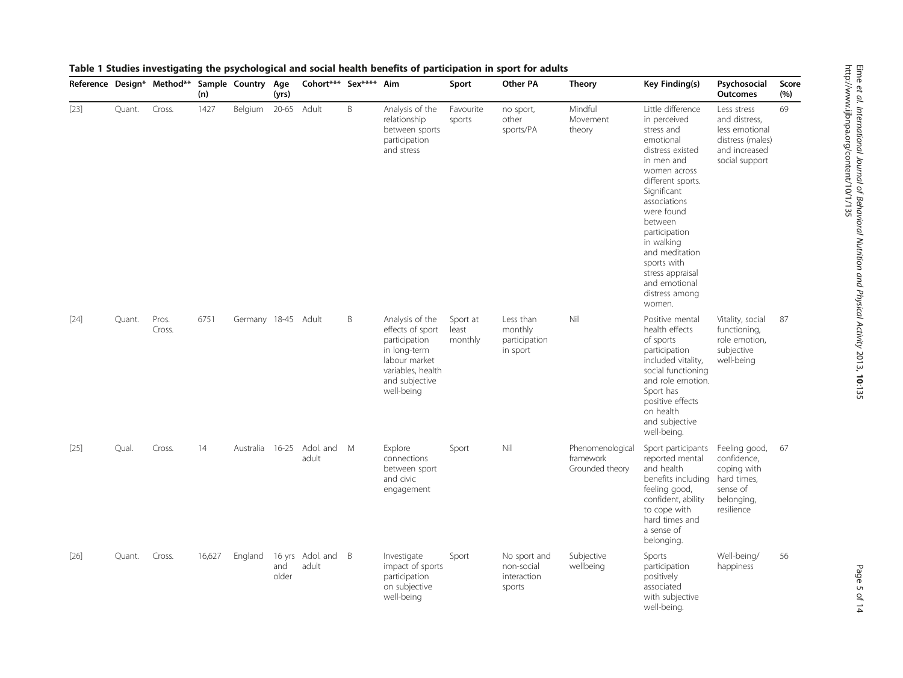|        |        | rasic + staates investigating the psychological and so<br>Reference Design* Method** Sample Country Age | (n)    |                     | (yrs)        | Cohort*** Sex**** Aim       |   | וטוויט טו פוויט                                                                                                                            | Sport                        | Other PA                                            | <b>Theory</b>                                    | Key Finding(s)                                                                                                                                                                                                                                                                                                               | Psychosocial<br><b>Outcomes</b>                                                                       | Score<br>(%) |
|--------|--------|---------------------------------------------------------------------------------------------------------|--------|---------------------|--------------|-----------------------------|---|--------------------------------------------------------------------------------------------------------------------------------------------|------------------------------|-----------------------------------------------------|--------------------------------------------------|------------------------------------------------------------------------------------------------------------------------------------------------------------------------------------------------------------------------------------------------------------------------------------------------------------------------------|-------------------------------------------------------------------------------------------------------|--------------|
| $[23]$ | Quant. | Cross.                                                                                                  | 1427   | Belgium             | 20-65 Adult  |                             | B | Analysis of the<br>relationship<br>between sports<br>participation<br>and stress                                                           | Favourite<br>sports          | no sport,<br>other<br>sports/PA                     | Mindful<br>Movement<br>theory                    | Little difference<br>in perceived<br>stress and<br>emotional<br>distress existed<br>in men and<br>women across<br>different sports.<br>Significant<br>associations<br>were found<br>between<br>participation<br>in walking<br>and meditation<br>sports with<br>stress appraisal<br>and emotional<br>distress among<br>women. | Less stress<br>and distress,<br>less emotional<br>distress (males)<br>and increased<br>social support | 69           |
| $[24]$ | Quant. | Pros.<br>Cross.                                                                                         | 6751   | Germany 18-45 Adult |              |                             | B | Analysis of the<br>effects of sport<br>participation<br>in long-term<br>labour market<br>variables, health<br>and subjective<br>well-being | Sport at<br>least<br>monthly | Less than<br>monthly<br>participation<br>in sport   | Nil                                              | Positive mental<br>health effects<br>of sports<br>participation<br>included vitality,<br>social functioning<br>and role emotion.<br>Sport has<br>positive effects<br>on health<br>and subjective<br>well-being.                                                                                                              | Vitality, social<br>functioning,<br>role emotion,<br>subjective<br>well-being                         | 87           |
| $[25]$ | Qual.  | Cross.                                                                                                  | 14     | Australia           | $16 - 25$    | Adol. and M<br>adult        |   | Explore<br>connections<br>between sport<br>and civic<br>engagement                                                                         | Sport                        | Nil                                                 | Phenomenological<br>framework<br>Grounded theory | Sport participants<br>reported mental<br>and health<br>benefits including<br>feeling good,<br>confident, ability<br>to cope with<br>hard times and<br>a sense of<br>belonging.                                                                                                                                               | Feeling good,<br>confidence,<br>coping with<br>hard times,<br>sense of<br>belonging,<br>resilience    | 67           |
| $[26]$ | Quant. | Cross.                                                                                                  | 16,627 | England             | and<br>older | 16 yrs Adol. and B<br>adult |   | Investigate<br>impact of sports<br>participation<br>on subjective<br>well-being                                                            | Sport                        | No sport and<br>non-social<br>interaction<br>sports | Subjective<br>wellbeing                          | Sports<br>participation<br>positively<br>associated<br>with subjective<br>well-being.                                                                                                                                                                                                                                        | Well-being/<br>happiness                                                                              | 56           |

# <span id="page-4-0"></span>Table 1 Studies investigating the psychological and social health benefits of participation in sport for adults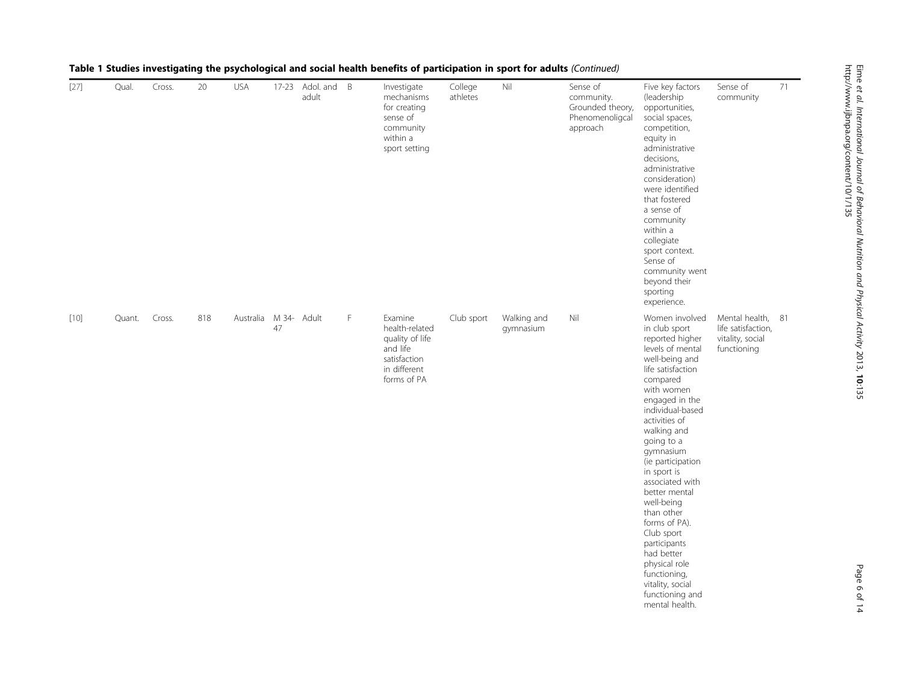| $[27]$ | Qual.  | Cross. | 20  | <b>USA</b>            |    | 17-23 Adol. and B<br>adult |   | Investigate<br>mechanisms<br>for creating<br>sense of<br>community<br>within a<br>sport setting         | College<br>athletes | Nil                      | Sense of<br>community.<br>Grounded theory,<br>Phenomenoligcal<br>approach | Five key factors<br>(leadership<br>opportunities,<br>social spaces,<br>competition,<br>equity in<br>administrative<br>decisions,<br>administrative<br>consideration)<br>were identified<br>that fostered<br>a sense of<br>community<br>within a<br>collegiate<br>sport context.<br>Sense of<br>community went<br>beyond their<br>sporting<br>experience.                                                                                                                                            | Sense of<br>community                                                      | 71 |
|--------|--------|--------|-----|-----------------------|----|----------------------------|---|---------------------------------------------------------------------------------------------------------|---------------------|--------------------------|---------------------------------------------------------------------------|-----------------------------------------------------------------------------------------------------------------------------------------------------------------------------------------------------------------------------------------------------------------------------------------------------------------------------------------------------------------------------------------------------------------------------------------------------------------------------------------------------|----------------------------------------------------------------------------|----|
| $[10]$ | Quant. | Cross. | 818 | Australia M 34- Adult | 47 |                            | F | Examine<br>health-related<br>quality of life<br>and life<br>satisfaction<br>in different<br>forms of PA | Club sport          | Walking and<br>gymnasium | Nil                                                                       | Women involved<br>in club sport<br>reported higher<br>levels of mental<br>well-being and<br>life satisfaction<br>compared<br>with women<br>engaged in the<br>individual-based<br>activities of<br>walking and<br>going to a<br>gymnasium<br>(ie participation<br>in sport is<br>associated with<br>better mental<br>well-being<br>than other<br>forms of PA).<br>Club sport<br>participants<br>had better<br>physical role<br>functioning,<br>vitality, social<br>functioning and<br>mental health. | Mental health, 81<br>life satisfaction,<br>vitality, social<br>functioning |    |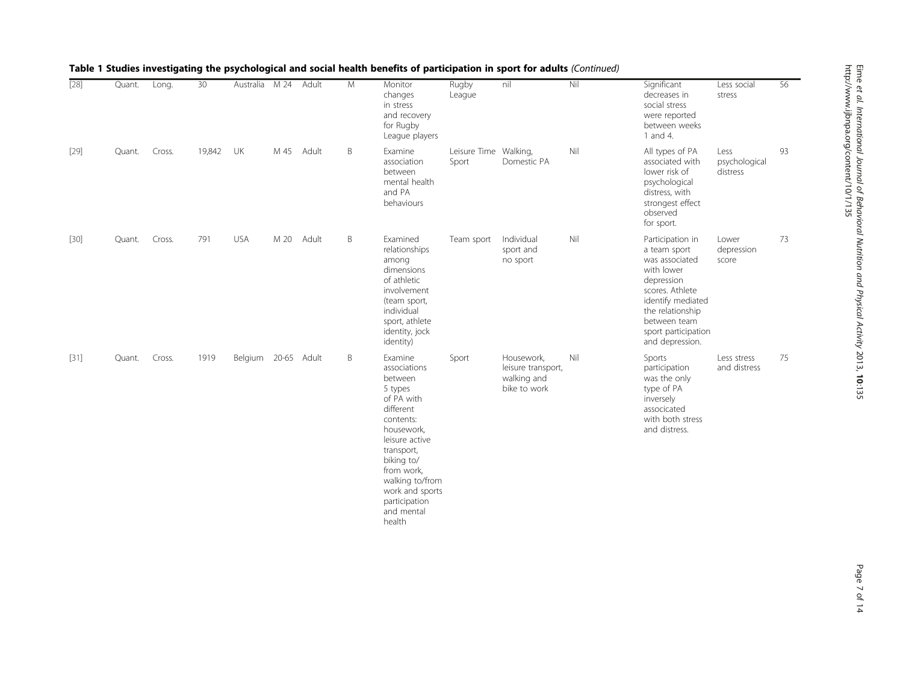| $[28]$ | Quant. | Long.  | 30     | Australia           | M <sub>24</sub> | Adult      | M | Monitor<br>changes<br>in stress<br>and recovery<br>for Rugby<br>League players                                                                                                                                                                 | Rugby<br>League                | nil                                                             | Nil | Significant<br>decreases in<br>social stress<br>were reported<br>between weeks<br>1 and 4.                                                                                                           | Less social<br>stress             | 56 |
|--------|--------|--------|--------|---------------------|-----------------|------------|---|------------------------------------------------------------------------------------------------------------------------------------------------------------------------------------------------------------------------------------------------|--------------------------------|-----------------------------------------------------------------|-----|------------------------------------------------------------------------------------------------------------------------------------------------------------------------------------------------------|-----------------------------------|----|
| $[29]$ | Quant. | Cross. | 19,842 | UK                  |                 | M 45 Adult | B | Examine<br>association<br>between<br>mental health<br>and PA<br>behaviours                                                                                                                                                                     | Leisure Time Walking,<br>Sport | Domestic PA                                                     | Nil | All types of PA<br>associated with<br>lower risk of<br>psychological<br>distress, with<br>strongest effect<br>observed<br>for sport.                                                                 | Less<br>psychological<br>distress | 93 |
| $[30]$ | Quant. | Cross. | 791    | <b>USA</b>          | M 20            | Adult      | B | Examined<br>relationships<br>among<br>dimensions<br>of athletic<br>involvement<br>(team sport,<br>individual<br>sport, athlete<br>identity, jock<br>identity)                                                                                  | Team sport                     | Individual<br>sport and<br>no sport                             | Nil | Participation in<br>a team sport<br>was associated<br>with lower<br>depression<br>scores. Athlete<br>identify mediated<br>the relationship<br>between team<br>sport participation<br>and depression. | Lower<br>depression<br>score      | 73 |
| $[31]$ | Quant. | Cross. | 1919   | Belgium 20-65 Adult |                 |            | B | Examine<br>associations<br>between<br>5 types<br>of PA with<br>different<br>contents:<br>housework,<br>leisure active<br>transport,<br>biking to/<br>from work.<br>walking to/from<br>work and sports<br>participation<br>and mental<br>health | Sport                          | Housework,<br>leisure transport,<br>walking and<br>bike to work | Nil | Sports<br>participation<br>was the only<br>type of PA<br>inversely<br>associcated<br>with both stress<br>and distress.                                                                               | Less stress<br>and distress       | 75 |

Table 1 Studies investigating the psychological and social health benefits of participation in sport for adults (Continued)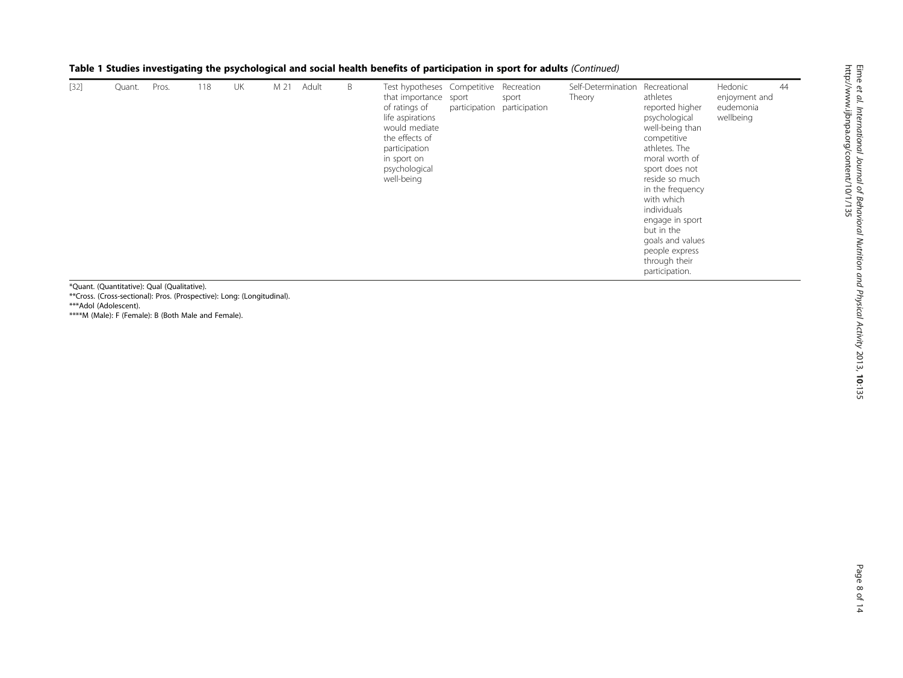| $[32]$ | Quant. | Pros. | 118 | UK | M 21 | Adult | B | Test hypotheses Competitive Recreation<br>that importance<br>of ratings of<br>life aspirations<br>would mediate<br>the effects of<br>participation<br>in sport on<br>psychological<br>well-being | sport | sport<br>participation participation | Self-Determination<br>Theory | Recreational<br>athletes<br>reported higher<br>psychological<br>well-being than<br>competitive<br>athletes. The<br>moral worth of<br>sport does not<br>reside so much<br>in the frequency<br>with which<br>individuals<br>engage in sport<br>but in the<br>goals and values<br>people express<br>through their<br>participation. | Hedonic<br>enjoyment and<br>eudemonia<br>wellbeing | 44 |
|--------|--------|-------|-----|----|------|-------|---|--------------------------------------------------------------------------------------------------------------------------------------------------------------------------------------------------|-------|--------------------------------------|------------------------------|----------------------------------------------------------------------------------------------------------------------------------------------------------------------------------------------------------------------------------------------------------------------------------------------------------------------------------|----------------------------------------------------|----|
|--------|--------|-------|-----|----|------|-------|---|--------------------------------------------------------------------------------------------------------------------------------------------------------------------------------------------------|-------|--------------------------------------|------------------------------|----------------------------------------------------------------------------------------------------------------------------------------------------------------------------------------------------------------------------------------------------------------------------------------------------------------------------------|----------------------------------------------------|----|

Table 1 Studies investigating the psychological and social health benefits of participation in sport for adults (Continued)

\*Quant. (Quantitative): Qual (Qualitative). \*\*Cross. (Cross-sectional): Pros. (Prospective): Long: (Longitudinal). \*\*\*Adol (Adolescent). \*\*\*\*M (Male): F (Female): B (Both Male and Female).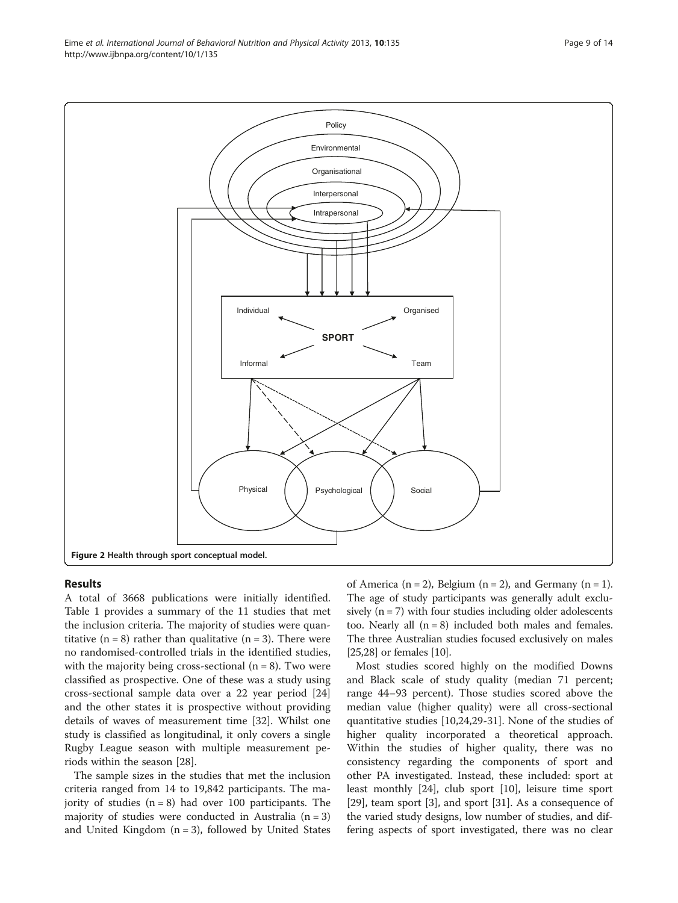<span id="page-8-0"></span>Eime et al. International Journal of Behavioral Nutrition and Physical Activity 2013, 10:135 Page 9 of 14 http://www.ijbnpa.org/content/10/1/135



#### Results

A total of 3668 publications were initially identified. Table [1](#page-4-0) provides a summary of the 11 studies that met the inclusion criteria. The majority of studies were quantitative  $(n = 8)$  rather than qualitative  $(n = 3)$ . There were no randomised-controlled trials in the identified studies, with the majority being cross-sectional  $(n = 8)$ . Two were classified as prospective. One of these was a study using cross-sectional sample data over a 22 year period [[24](#page-12-0)] and the other states it is prospective without providing details of waves of measurement time [[32\]](#page-13-0). Whilst one study is classified as longitudinal, it only covers a single Rugby League season with multiple measurement periods within the season [[28\]](#page-13-0).

The sample sizes in the studies that met the inclusion criteria ranged from 14 to 19,842 participants. The majority of studies  $(n = 8)$  had over 100 participants. The majority of studies were conducted in Australia  $(n = 3)$ and United Kingdom  $(n = 3)$ , followed by United States of America (n = 2), Belgium (n = 2), and Germany (n = 1). The age of study participants was generally adult exclusively  $(n = 7)$  with four studies including older adolescents too. Nearly all  $(n = 8)$  included both males and females. The three Australian studies focused exclusively on males [[25](#page-13-0),[28](#page-13-0)] or females [[10](#page-12-0)].

Most studies scored highly on the modified Downs and Black scale of study quality (median 71 percent; range 44–93 percent). Those studies scored above the median value (higher quality) were all cross-sectional quantitative studies [[10,24,](#page-12-0)[29-31\]](#page-13-0). None of the studies of higher quality incorporated a theoretical approach. Within the studies of higher quality, there was no consistency regarding the components of sport and other PA investigated. Instead, these included: sport at least monthly [[24](#page-12-0)], club sport [\[10](#page-12-0)], leisure time sport [[29\]](#page-13-0), team sport [[3\]](#page-12-0), and sport [\[31](#page-13-0)]. As a consequence of the varied study designs, low number of studies, and differing aspects of sport investigated, there was no clear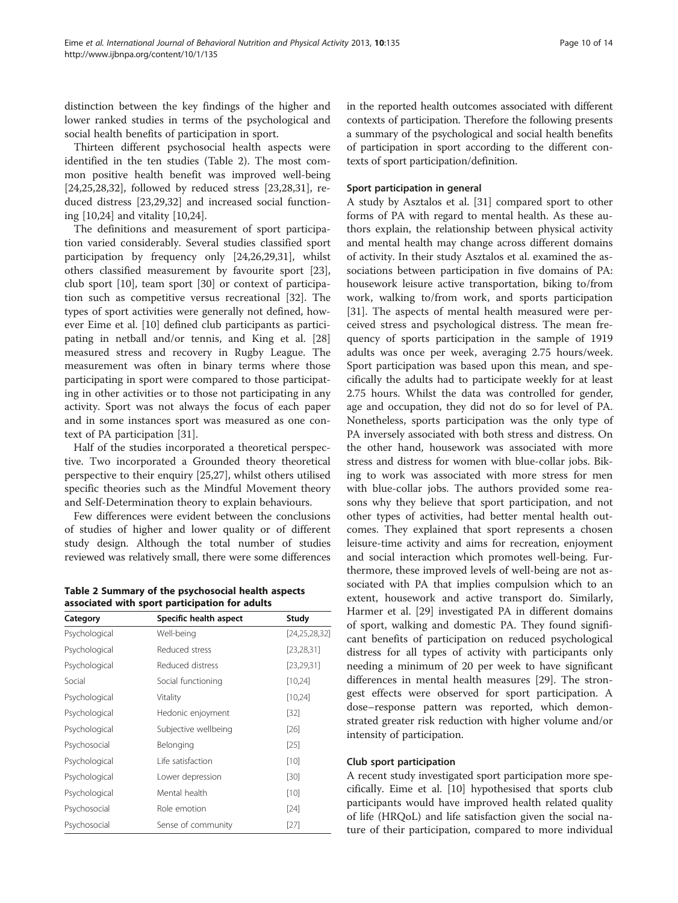distinction between the key findings of the higher and lower ranked studies in terms of the psychological and social health benefits of participation in sport.

Thirteen different psychosocial health aspects were identified in the ten studies (Table 2). The most common positive health benefit was improved well-being [[24,](#page-12-0)[25,28,32\]](#page-13-0), followed by reduced stress [\[23](#page-12-0)[,28,31](#page-13-0)], reduced distress [\[23,](#page-12-0)[29,32\]](#page-13-0) and increased social functioning [\[10,24](#page-12-0)] and vitality [[10,24\]](#page-12-0).

The definitions and measurement of sport participation varied considerably. Several studies classified sport participation by frequency only [\[24,](#page-12-0)[26,29,31\]](#page-13-0), whilst others classified measurement by favourite sport [\[23](#page-12-0)], club sport [[10](#page-12-0)], team sport [\[30](#page-13-0)] or context of participation such as competitive versus recreational [\[32](#page-13-0)]. The types of sport activities were generally not defined, however Eime et al. [[10](#page-12-0)] defined club participants as participating in netball and/or tennis, and King et al. [[28](#page-13-0)] measured stress and recovery in Rugby League. The measurement was often in binary terms where those participating in sport were compared to those participating in other activities or to those not participating in any activity. Sport was not always the focus of each paper and in some instances sport was measured as one context of PA participation [[31\]](#page-13-0).

Half of the studies incorporated a theoretical perspective. Two incorporated a Grounded theory theoretical perspective to their enquiry [[25](#page-13-0),[27](#page-13-0)], whilst others utilised specific theories such as the Mindful Movement theory and Self-Determination theory to explain behaviours.

Few differences were evident between the conclusions of studies of higher and lower quality or of different study design. Although the total number of studies reviewed was relatively small, there were some differences

Table 2 Summary of the psychosocial health aspects associated with sport participation for adults

| Category      | Specific health aspect | Study            |
|---------------|------------------------|------------------|
| Psychological | Well-being             | [24, 25, 28, 32] |
| Psychological | Reduced stress         | [23, 28, 31]     |
| Psychological | Reduced distress       | [23, 29, 31]     |
| Social        | Social functioning     | [10,24]          |
| Psychological | Vitality               | [10,24]          |
| Psychological | Hedonic enjoyment      | [32]             |
| Psychological | Subjective wellbeing   | [26]             |
| Psychosocial  | Belonging              | [25]             |
| Psychological | Life satisfaction      | $[10]$           |
| Psychological | Lower depression       | $[30]$           |
| Psychological | Mental health          | $[10]$           |
| Psychosocial  | Role emotion           | $[24]$           |
| Psychosocial  | Sense of community     | [27]             |

in the reported health outcomes associated with different contexts of participation. Therefore the following presents a summary of the psychological and social health benefits of participation in sport according to the different contexts of sport participation/definition.

#### Sport participation in general

A study by Asztalos et al. [\[31](#page-13-0)] compared sport to other forms of PA with regard to mental health. As these authors explain, the relationship between physical activity and mental health may change across different domains of activity. In their study Asztalos et al. examined the associations between participation in five domains of PA: housework leisure active transportation, biking to/from work, walking to/from work, and sports participation [[31\]](#page-13-0). The aspects of mental health measured were perceived stress and psychological distress. The mean frequency of sports participation in the sample of 1919 adults was once per week, averaging 2.75 hours/week. Sport participation was based upon this mean, and specifically the adults had to participate weekly for at least 2.75 hours. Whilst the data was controlled for gender, age and occupation, they did not do so for level of PA. Nonetheless, sports participation was the only type of PA inversely associated with both stress and distress. On the other hand, housework was associated with more stress and distress for women with blue-collar jobs. Biking to work was associated with more stress for men with blue-collar jobs. The authors provided some reasons why they believe that sport participation, and not other types of activities, had better mental health outcomes. They explained that sport represents a chosen leisure-time activity and aims for recreation, enjoyment and social interaction which promotes well-being. Furthermore, these improved levels of well-being are not associated with PA that implies compulsion which to an extent, housework and active transport do. Similarly, Harmer et al. [\[29](#page-13-0)] investigated PA in different domains of sport, walking and domestic PA. They found significant benefits of participation on reduced psychological distress for all types of activity with participants only needing a minimum of 20 per week to have significant differences in mental health measures [[29](#page-13-0)]. The strongest effects were observed for sport participation. A dose–response pattern was reported, which demonstrated greater risk reduction with higher volume and/or intensity of participation.

#### Club sport participation

A recent study investigated sport participation more specifically. Eime et al. [\[10](#page-12-0)] hypothesised that sports club participants would have improved health related quality of life (HRQoL) and life satisfaction given the social nature of their participation, compared to more individual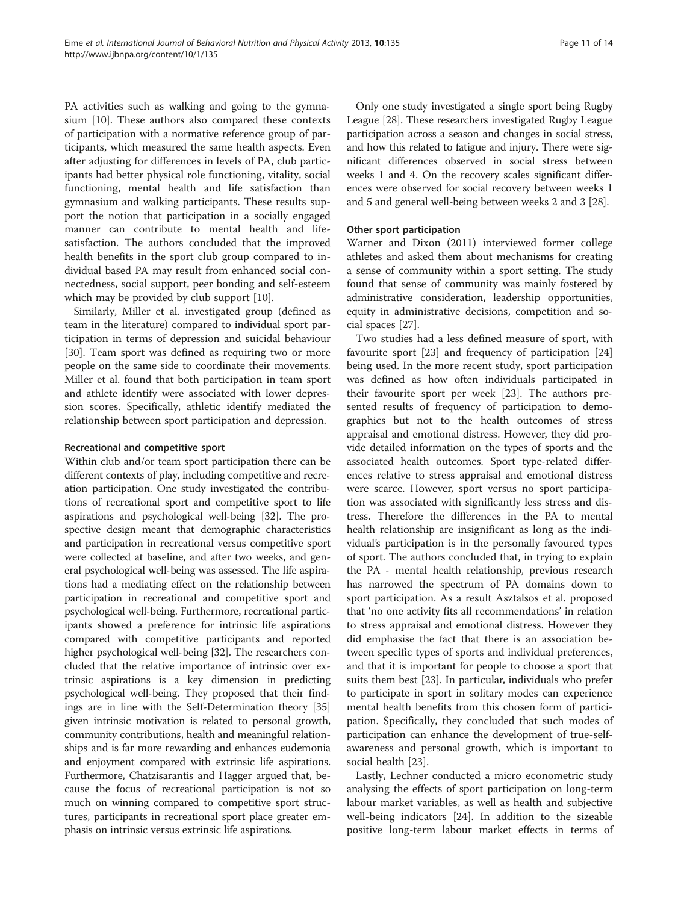PA activities such as walking and going to the gymnasium [[10\]](#page-12-0). These authors also compared these contexts of participation with a normative reference group of participants, which measured the same health aspects. Even after adjusting for differences in levels of PA, club participants had better physical role functioning, vitality, social functioning, mental health and life satisfaction than gymnasium and walking participants. These results support the notion that participation in a socially engaged manner can contribute to mental health and lifesatisfaction. The authors concluded that the improved health benefits in the sport club group compared to individual based PA may result from enhanced social connectedness, social support, peer bonding and self-esteem which may be provided by club support [[10](#page-12-0)].

Similarly, Miller et al. investigated group (defined as team in the literature) compared to individual sport participation in terms of depression and suicidal behaviour [[30\]](#page-13-0). Team sport was defined as requiring two or more people on the same side to coordinate their movements. Miller et al. found that both participation in team sport and athlete identify were associated with lower depression scores. Specifically, athletic identify mediated the relationship between sport participation and depression.

#### Recreational and competitive sport

Within club and/or team sport participation there can be different contexts of play, including competitive and recreation participation. One study investigated the contributions of recreational sport and competitive sport to life aspirations and psychological well-being [\[32](#page-13-0)]. The prospective design meant that demographic characteristics and participation in recreational versus competitive sport were collected at baseline, and after two weeks, and general psychological well-being was assessed. The life aspirations had a mediating effect on the relationship between participation in recreational and competitive sport and psychological well-being. Furthermore, recreational participants showed a preference for intrinsic life aspirations compared with competitive participants and reported higher psychological well-being [\[32\]](#page-13-0). The researchers concluded that the relative importance of intrinsic over extrinsic aspirations is a key dimension in predicting psychological well-being. They proposed that their findings are in line with the Self-Determination theory [[35](#page-13-0)] given intrinsic motivation is related to personal growth, community contributions, health and meaningful relationships and is far more rewarding and enhances eudemonia and enjoyment compared with extrinsic life aspirations. Furthermore, Chatzisarantis and Hagger argued that, because the focus of recreational participation is not so much on winning compared to competitive sport structures, participants in recreational sport place greater emphasis on intrinsic versus extrinsic life aspirations.

Only one study investigated a single sport being Rugby League [\[28\]](#page-13-0). These researchers investigated Rugby League participation across a season and changes in social stress, and how this related to fatigue and injury. There were significant differences observed in social stress between weeks 1 and 4. On the recovery scales significant differences were observed for social recovery between weeks 1 and 5 and general well-being between weeks 2 and 3 [\[28\]](#page-13-0).

# Other sport participation

Warner and Dixon (2011) interviewed former college athletes and asked them about mechanisms for creating a sense of community within a sport setting. The study found that sense of community was mainly fostered by administrative consideration, leadership opportunities, equity in administrative decisions, competition and social spaces [[27](#page-13-0)].

Two studies had a less defined measure of sport, with favourite sport [\[23](#page-12-0)] and frequency of participation [[24](#page-12-0)] being used. In the more recent study, sport participation was defined as how often individuals participated in their favourite sport per week [[23\]](#page-12-0). The authors presented results of frequency of participation to demographics but not to the health outcomes of stress appraisal and emotional distress. However, they did provide detailed information on the types of sports and the associated health outcomes. Sport type-related differences relative to stress appraisal and emotional distress were scarce. However, sport versus no sport participation was associated with significantly less stress and distress. Therefore the differences in the PA to mental health relationship are insignificant as long as the individual's participation is in the personally favoured types of sport. The authors concluded that, in trying to explain the PA - mental health relationship, previous research has narrowed the spectrum of PA domains down to sport participation. As a result Asztalsos et al. proposed that 'no one activity fits all recommendations' in relation to stress appraisal and emotional distress. However they did emphasise the fact that there is an association between specific types of sports and individual preferences, and that it is important for people to choose a sport that suits them best [\[23\]](#page-12-0). In particular, individuals who prefer to participate in sport in solitary modes can experience mental health benefits from this chosen form of participation. Specifically, they concluded that such modes of participation can enhance the development of true-selfawareness and personal growth, which is important to social health [[23\]](#page-12-0).

Lastly, Lechner conducted a micro econometric study analysing the effects of sport participation on long-term labour market variables, as well as health and subjective well-being indicators [\[24\]](#page-12-0). In addition to the sizeable positive long-term labour market effects in terms of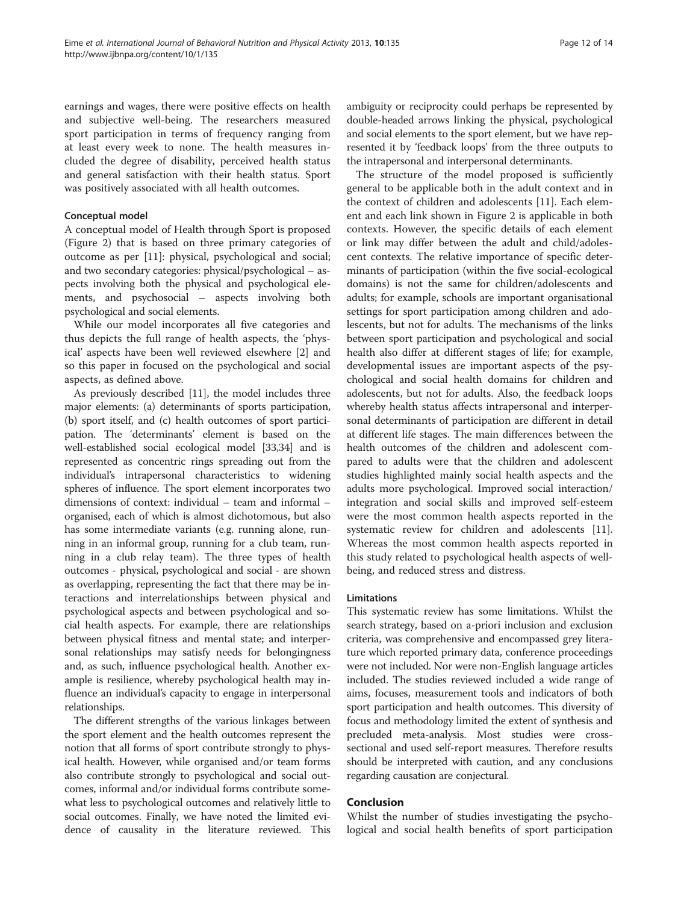earnings and wages, there were positive effects on health and subjective well-being. The researchers measured sport participation in terms of frequency ranging from at least every week to none. The health measures included the degree of disability, perceived health status and general satisfaction with their health status. Sport was positively associated with all health outcomes.

#### Conceptual model

A conceptual model of Health through Sport is proposed (Figure [2\)](#page-8-0) that is based on three primary categories of outcome as per [[11](#page-12-0)]: physical, psychological and social; and two secondary categories: physical/psychological – aspects involving both the physical and psychological elements, and psychosocial – aspects involving both psychological and social elements.

While our model incorporates all five categories and thus depicts the full range of health aspects, the 'physical' aspects have been well reviewed elsewhere [\[2](#page-12-0)] and so this paper in focused on the psychological and social aspects, as defined above.

As previously described [[11\]](#page-12-0), the model includes three major elements: (a) determinants of sports participation, (b) sport itself, and (c) health outcomes of sport participation. The 'determinants' element is based on the well-established social ecological model [\[33,34\]](#page-13-0) and is represented as concentric rings spreading out from the individual's intrapersonal characteristics to widening spheres of influence. The sport element incorporates two dimensions of context: individual – team and informal – organised, each of which is almost dichotomous, but also has some intermediate variants (e.g. running alone, running in an informal group, running for a club team, running in a club relay team). The three types of health outcomes - physical, psychological and social - are shown as overlapping, representing the fact that there may be interactions and interrelationships between physical and psychological aspects and between psychological and social health aspects. For example, there are relationships between physical fitness and mental state; and interpersonal relationships may satisfy needs for belongingness and, as such, influence psychological health. Another example is resilience, whereby psychological health may influence an individual's capacity to engage in interpersonal relationships.

The different strengths of the various linkages between the sport element and the health outcomes represent the notion that all forms of sport contribute strongly to physical health. However, while organised and/or team forms also contribute strongly to psychological and social outcomes, informal and/or individual forms contribute somewhat less to psychological outcomes and relatively little to social outcomes. Finally, we have noted the limited evidence of causality in the literature reviewed. This

ambiguity or reciprocity could perhaps be represented by double-headed arrows linking the physical, psychological and social elements to the sport element, but we have represented it by 'feedback loops' from the three outputs to the intrapersonal and interpersonal determinants.

The structure of the model proposed is sufficiently general to be applicable both in the adult context and in the context of children and adolescents [\[11\]](#page-12-0). Each element and each link shown in Figure [2](#page-8-0) is applicable in both contexts. However, the specific details of each element or link may differ between the adult and child/adolescent contexts. The relative importance of specific determinants of participation (within the five social-ecological domains) is not the same for children/adolescents and adults; for example, schools are important organisational settings for sport participation among children and adolescents, but not for adults. The mechanisms of the links between sport participation and psychological and social health also differ at different stages of life; for example, developmental issues are important aspects of the psychological and social health domains for children and adolescents, but not for adults. Also, the feedback loops whereby health status affects intrapersonal and interpersonal determinants of participation are different in detail at different life stages. The main differences between the health outcomes of the children and adolescent compared to adults were that the children and adolescent studies highlighted mainly social health aspects and the adults more psychological. Improved social interaction/ integration and social skills and improved self-esteem were the most common health aspects reported in the systematic review for children and adolescents [\[11](#page-12-0)]. Whereas the most common health aspects reported in this study related to psychological health aspects of wellbeing, and reduced stress and distress.

#### Limitations

This systematic review has some limitations. Whilst the search strategy, based on a-priori inclusion and exclusion criteria, was comprehensive and encompassed grey literature which reported primary data, conference proceedings were not included. Nor were non-English language articles included. The studies reviewed included a wide range of aims, focuses, measurement tools and indicators of both sport participation and health outcomes. This diversity of focus and methodology limited the extent of synthesis and precluded meta-analysis. Most studies were crosssectional and used self-report measures. Therefore results should be interpreted with caution, and any conclusions regarding causation are conjectural.

#### Conclusion

Whilst the number of studies investigating the psychological and social health benefits of sport participation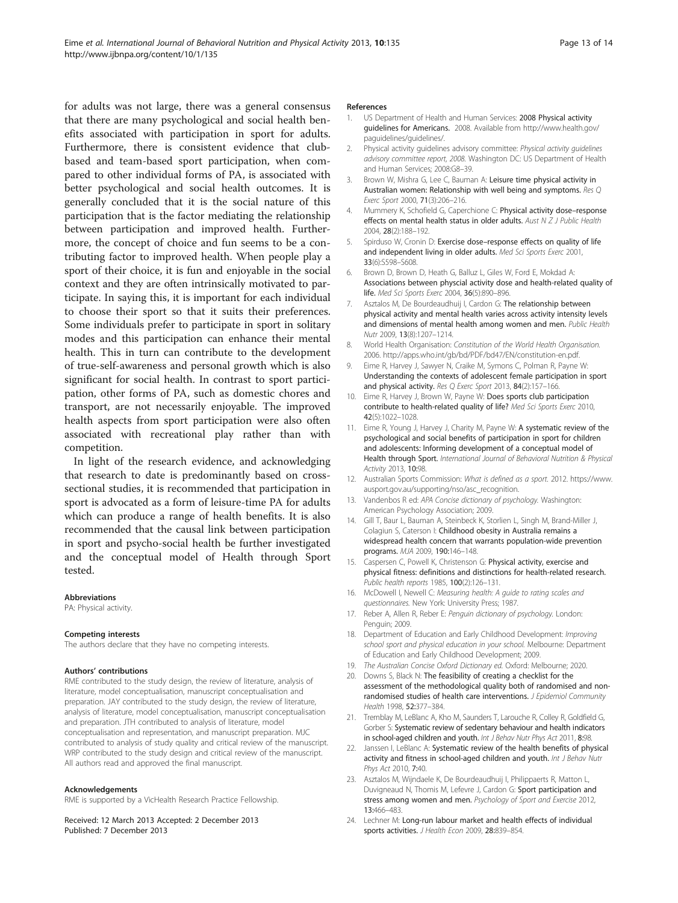<span id="page-12-0"></span>for adults was not large, there was a general consensus that there are many psychological and social health benefits associated with participation in sport for adults. Furthermore, there is consistent evidence that clubbased and team-based sport participation, when compared to other individual forms of PA, is associated with better psychological and social health outcomes. It is generally concluded that it is the social nature of this participation that is the factor mediating the relationship between participation and improved health. Furthermore, the concept of choice and fun seems to be a contributing factor to improved health. When people play a sport of their choice, it is fun and enjoyable in the social context and they are often intrinsically motivated to participate. In saying this, it is important for each individual to choose their sport so that it suits their preferences. Some individuals prefer to participate in sport in solitary modes and this participation can enhance their mental health. This in turn can contribute to the development of true-self-awareness and personal growth which is also significant for social health. In contrast to sport participation, other forms of PA, such as domestic chores and transport, are not necessarily enjoyable. The improved health aspects from sport participation were also often associated with recreational play rather than with competition.

In light of the research evidence, and acknowledging that research to date is predominantly based on crosssectional studies, it is recommended that participation in sport is advocated as a form of leisure-time PA for adults which can produce a range of health benefits. It is also recommended that the causal link between participation in sport and psycho-social health be further investigated and the conceptual model of Health through Sport tested.

#### Abbreviations

PA: Physical activity.

#### Competing interests

The authors declare that they have no competing interests.

#### Authors' contributions

RME contributed to the study design, the review of literature, analysis of literature, model conceptualisation, manuscript conceptualisation and preparation. JAY contributed to the study design, the review of literature, analysis of literature, model conceptualisation, manuscript conceptualisation and preparation. JTH contributed to analysis of literature, model conceptualisation and representation, and manuscript preparation. MJC contributed to analysis of study quality and critical review of the manuscript. WRP contributed to the study design and critical review of the manuscript. All authors read and approved the final manuscript.

#### Acknowledgements

RME is supported by a VicHealth Research Practice Fellowship.

Received: 12 March 2013 Accepted: 2 December 2013 Published: 7 December 2013

#### References

- 1. US Department of Health and Human Services: 2008 Physical activity guidelines for Americans. 2008. Available from [http://www.health.gov/](http://www.health.gov/paguidelines/guidelines/) [paguidelines/guidelines/.](http://www.health.gov/paguidelines/guidelines/)
- 2. Physical activity guidelines advisory committee: Physical activity guidelines advisory committee report, 2008. Washington DC: US Department of Health and Human Services; 2008:G8–39.
- 3. Brown W, Mishra G, Lee C, Bauman A: Leisure time physical activity in Australian women: Relationship with well being and symptoms. Res Q Exerc Sport 2000, 71(3):206–216.
- 4. Mummery K, Schofield G, Caperchione C: Physical activity dose-response effects on mental health status in older adults. Aust N Z I Public Health 2004, 28(2):188–192.
- 5. Spirduso W, Cronin D: Exercise dose–response effects on quality of life and independent living in older adults. Med Sci Sports Exerc 2001, 33(6):S598–S608.
- 6. Brown D, Brown D, Heath G, Balluz L, Giles W, Ford E, Mokdad A: Associations between physcial activity dose and health-related quality of life. Med Sci Sports Exerc 2004, 36(5):890–896.
- 7. Asztalos M, De Bourdeaudhuij I, Cardon G: The relationship between physical activity and mental health varies across activity intensity levels and dimensions of mental health among women and men. Public Health Nutr 2009, 13(8):1207–1214.
- 8. World Health Organisation: Constitution of the World Health Organisation. 2006. [http://apps.who.int/gb/bd/PDF/bd47/EN/constitution-en.pdf.](http://apps.who.int/gb/bd/PDF/bd47/EN/constitution-en.pdf)
- 9. Eime R, Harvey J, Sawyer N, Craike M, Symons C, Polman R, Payne W: Understanding the contexts of adolescent female participation in sport and physical activity. Res Q Exerc Sport 2013, 84(2):157-166.
- 10. Eime R, Harvey J, Brown W, Payne W: Does sports club participation contribute to health-related quality of life? Med Sci Sports Exerc 2010, 42(5):1022–1028.
- 11. Eime R, Young J, Harvey J, Charity M, Payne W: A systematic review of the psychological and social benefits of participation in sport for children and adolescents: Informing development of a conceptual model of Health through Sport. International Journal of Behavioral Nutrition & Physical Activity 2013, 10:98.
- 12. Australian Sports Commission: What is defined as a sport. 2012. [https://www.](https://www.ausport.gov.au/supporting/nso/asc_recognition) [ausport.gov.au/supporting/nso/asc\\_recognition.](https://www.ausport.gov.au/supporting/nso/asc_recognition)
- 13. Vandenbos R ed: APA Concise dictionary of psychology. Washington: American Psychology Association; 2009.
- 14. Gill T, Baur L, Bauman A, Steinbeck K, Storlien L, Singh M, Brand-Miller J, Colagiun S, Caterson I: Childhood obesity in Australia remains a widespread health concern that warrants population-wide prevention programs. MJA 2009, 190:146–148.
- 15. Caspersen C, Powell K, Christenson G: Physical activity, exercise and physical fitness: definitions and distinctions for health-related research. Public health reports 1985, 100(2):126–131.
- 16. McDowell I, Newell C: Measuring health: A guide to rating scales and questionnaires. New York: University Press; 1987.
- 17. Reber A, Allen R, Reber E: Penguin dictionary of psychology. London: Penguin; 2009.
- 18. Department of Education and Early Childhood Development: Improving school sport and physical education in your school. Melbourne: Department of Education and Early Childhood Development; 2009.
- 19. The Australian Concise Oxford Dictionary ed. Oxford: Melbourne; 2020.
- 20. Downs S, Black N: The feasibility of creating a checklist for the assessment of the methodological quality both of randomised and nonrandomised studies of health care interventions. J Epidemiol Community Health 1998, 52:377–384.
- 21. Tremblay M, LeBlanc A, Kho M, Saunders T, Larouche R, Colley R, Goldfield G, Gorber S: Systematic review of sedentary behaviour and health indicators in school-aged children and youth. Int J Behav Nutr Phys Act 2011, 8:98.
- 22. Janssen I, LeBlanc A: Systematic review of the health benefits of physical activity and fitness in school-aged children and youth. Int J Behav Nutr Phys Act 2010, 7:40.
- 23. Asztalos M, Wijndaele K, De Bourdeaudhuij I, Philippaerts R, Matton L, Duvigneaud N, Thomis M, Lefevre J, Cardon G: Sport participation and stress among women and men. Psychology of Sport and Exercise 2012, 13:466–483.
- 24. Lechner M: Long-run labour market and health effects of individual sports activities. J Health Econ 2009, 28:839-854.